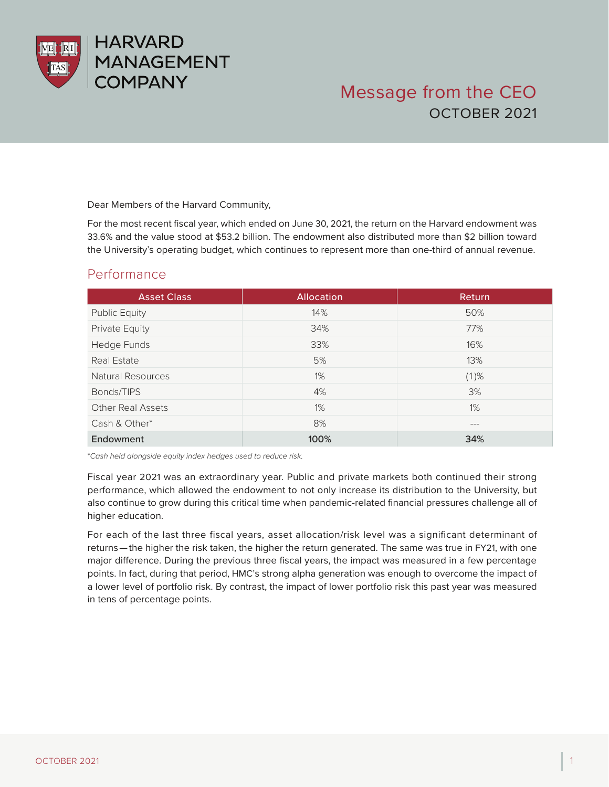

# Message from the CEO OCTOBER 2021

Dear Members of the Harvard Community,

For the most recent fiscal year, which ended on June 30, 2021, the return on the Harvard endowment was 33.6% and the value stood at \$53.2 billion. The endowment also distributed more than \$2 billion toward the University's operating budget, which continues to represent more than one-third of annual revenue.

#### Performance

| <b>Asset Class</b>       | <b>Allocation</b> | <b>Return</b> |
|--------------------------|-------------------|---------------|
| <b>Public Equity</b>     | 14%               | 50%           |
| Private Equity           | 34%               | 77%           |
| Hedge Funds              | 33%               | 16%           |
| Real Estate              | 5%                | 13%           |
| Natural Resources        | $1\%$             | $(1)$ %       |
| Bonds/TIPS               | 4%                | 3%            |
| <b>Other Real Assets</b> | $1\%$             | $1\%$         |
| Cash & Other*            | 8%                | $---$         |
| Endowment                | 100%              | 34%           |

\**Cash held alongside equity index hedges used to reduce risk.*

Fiscal year 2021 was an extraordinary year. Public and private markets both continued their strong performance, which allowed the endowment to not only increase its distribution to the University, but also continue to grow during this critical time when pandemic-related financial pressures challenge all of higher education.

For each of the last three fiscal years, asset allocation/risk level was a significant determinant of returns — the higher the risk taken, the higher the return generated. The same was true in FY21, with one major difference. During the previous three fiscal years, the impact was measured in a few percentage points. In fact, during that period, HMC's strong alpha generation was enough to overcome the impact of a lower level of portfolio risk. By contrast, the impact of lower portfolio risk this past year was measured in tens of percentage points.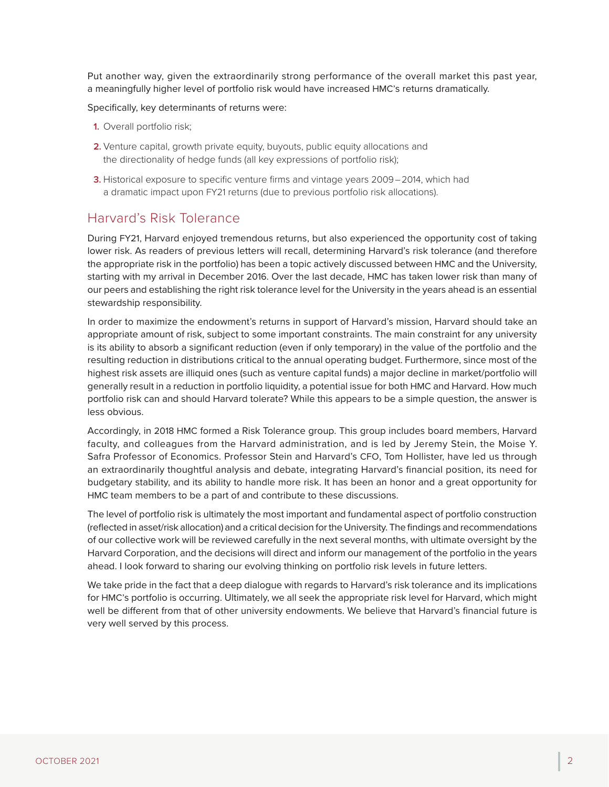Put another way, given the extraordinarily strong performance of the overall market this past year, a meaningfully higher level of portfolio risk would have increased HMC's returns dramatically.

Specifically, key determinants of returns were:

- **1.** Overall portfolio risk;
- **2.** Venture capital, growth private equity, buyouts, public equity allocations and the directionality of hedge funds (all key expressions of portfolio risk);
- **3.** Historical exposure to specific venture firms and vintage years 2009 – 2014, which had a dramatic impact upon FY21 returns (due to previous portfolio risk allocations).

#### Harvard's Risk Tolerance

During FY21, Harvard enjoyed tremendous returns, but also experienced the opportunity cost of taking lower risk. As readers of previous letters will recall, determining Harvard's risk tolerance (and therefore the appropriate risk in the portfolio) has been a topic actively discussed between HMC and the University, starting with my arrival in December 2016. Over the last decade, HMC has taken lower risk than many of our peers and establishing the right risk tolerance level for the University in the years ahead is an essential stewardship responsibility.

In order to maximize the endowment's returns in support of Harvard's mission, Harvard should take an appropriate amount of risk, subject to some important constraints. The main constraint for any university is its ability to absorb a significant reduction (even if only temporary) in the value of the portfolio and the resulting reduction in distributions critical to the annual operating budget. Furthermore, since most of the highest risk assets are illiquid ones (such as venture capital funds) a major decline in market/portfolio will generally result in a reduction in portfolio liquidity, a potential issue for both HMC and Harvard. How much portfolio risk can and should Harvard tolerate? While this appears to be a simple question, the answer is less obvious.

Accordingly, in 2018 HMC formed a Risk Tolerance group. This group includes board members, Harvard faculty, and colleagues from the Harvard administration, and is led by Jeremy Stein, the Moise Y. Safra Professor of Economics. Professor Stein and Harvard's CFO, Tom Hollister, have led us through an extraordinarily thoughtful analysis and debate, integrating Harvard's financial position, its need for budgetary stability, and its ability to handle more risk. It has been an honor and a great opportunity for HMC team members to be a part of and contribute to these discussions.

The level of portfolio risk is ultimately the most important and fundamental aspect of portfolio construction (reflected in asset/risk allocation) and a critical decision for the University. The findings and recommendations of our collective work will be reviewed carefully in the next several months, with ultimate oversight by the Harvard Corporation, and the decisions will direct and inform our management of the portfolio in the years ahead. I look forward to sharing our evolving thinking on portfolio risk levels in future letters.

We take pride in the fact that a deep dialogue with regards to Harvard's risk tolerance and its implications for HMC's portfolio is occurring. Ultimately, we all seek the appropriate risk level for Harvard, which might well be different from that of other university endowments. We believe that Harvard's financial future is very well served by this process.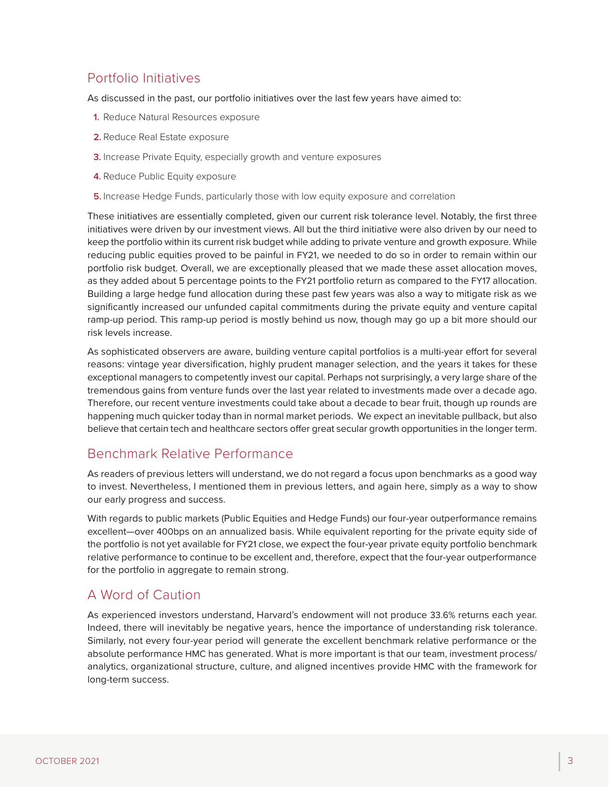### Portfolio Initiatives

As discussed in the past, our portfolio initiatives over the last few years have aimed to:

- **1.** Reduce Natural Resources exposure
- **2.** Reduce Real Estate exposure
- **3.** Increase Private Equity, especially growth and venture exposures
- **4.** Reduce Public Equity exposure
- **5.** Increase Hedge Funds, particularly those with low equity exposure and correlation

These initiatives are essentially completed, given our current risk tolerance level. Notably, the first three initiatives were driven by our investment views. All but the third initiative were also driven by our need to keep the portfolio within its current risk budget while adding to private venture and growth exposure. While reducing public equities proved to be painful in FY21, we needed to do so in order to remain within our portfolio risk budget. Overall, we are exceptionally pleased that we made these asset allocation moves, as they added about 5 percentage points to the FY21 portfolio return as compared to the FY17 allocation. Building a large hedge fund allocation during these past few years was also a way to mitigate risk as we significantly increased our unfunded capital commitments during the private equity and venture capital ramp-up period. This ramp-up period is mostly behind us now, though may go up a bit more should our risk levels increase.

As sophisticated observers are aware, building venture capital portfolios is a multi-year effort for several reasons: vintage year diversification, highly prudent manager selection, and the years it takes for these exceptional managers to competently invest our capital. Perhaps not surprisingly, a very large share of the tremendous gains from venture funds over the last year related to investments made over a decade ago. Therefore, our recent venture investments could take about a decade to bear fruit, though up rounds are happening much quicker today than in normal market periods. We expect an inevitable pullback, but also believe that certain tech and healthcare sectors offer great secular growth opportunities in the longer term.

#### Benchmark Relative Performance

As readers of previous letters will understand, we do not regard a focus upon benchmarks as a good way to invest. Nevertheless, I mentioned them in previous letters, and again here, simply as a way to show our early progress and success.

With regards to public markets (Public Equities and Hedge Funds) our four-year outperformance remains excellent—over 400bps on an annualized basis. While equivalent reporting for the private equity side of the portfolio is not yet available for FY21 close, we expect the four-year private equity portfolio benchmark relative performance to continue to be excellent and, therefore, expect that the four-year outperformance for the portfolio in aggregate to remain strong.

#### A Word of Caution

As experienced investors understand, Harvard's endowment will not produce 33.6% returns each year. Indeed, there will inevitably be negative years, hence the importance of understanding risk tolerance. Similarly, not every four-year period will generate the excellent benchmark relative performance or the absolute performance HMC has generated. What is more important is that our team, investment process/ analytics, organizational structure, culture, and aligned incentives provide HMC with the framework for long-term success.